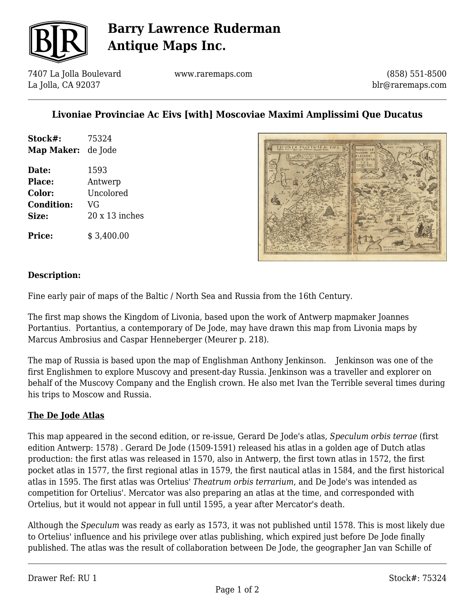

## **Barry Lawrence Ruderman Antique Maps Inc.**

7407 La Jolla Boulevard La Jolla, CA 92037

www.raremaps.com

(858) 551-8500 blr@raremaps.com

### **Livoniae Provinciae Ac Eivs [with] Moscoviae Maximi Amplissimi Que Ducatus**

| Stock#:                   | 75324 |
|---------------------------|-------|
| <b>Map Maker:</b> de Jode |       |
| Date:                     | 1593  |

**Place:** Antwerp **Color:** Uncolored **Condition:** VG **Size:** 20 x 13 inches

**Price:**  $$3.400.00$ 



#### **Description:**

Fine early pair of maps of the Baltic / North Sea and Russia from the 16th Century.

The first map shows the Kingdom of Livonia, based upon the work of Antwerp mapmaker Joannes Portantius. Portantius, a contemporary of De Jode, may have drawn this map from Livonia maps by Marcus Ambrosius and Caspar Henneberger (Meurer p. 218).

The map of Russia is based upon the map of Englishman Anthony Jenkinson. Jenkinson was one of the first Englishmen to explore Muscovy and present-day Russia. Jenkinson was a traveller and explorer on behalf of the Muscovy Company and the English crown. He also met Ivan the Terrible several times during his trips to Moscow and Russia.

#### **The De Jode Atlas**

This map appeared in the second edition, or re-issue, Gerard De Jode's atlas, *Speculum orbis terrae* (first edition Antwerp: 1578) *.* Gerard De Jode (1509-1591) released his atlas in a golden age of Dutch atlas production: the first atlas was released in 1570, also in Antwerp, the first town atlas in 1572, the first pocket atlas in 1577, the first regional atlas in 1579, the first nautical atlas in 1584, and the first historical atlas in 1595. The first atlas was Ortelius' *Theatrum orbis terrarium*, and De Jode's was intended as competition for Ortelius'. Mercator was also preparing an atlas at the time, and corresponded with Ortelius, but it would not appear in full until 1595, a year after Mercator's death.

Although the *Speculum* was ready as early as 1573, it was not published until 1578. This is most likely due to Ortelius' influence and his privilege over atlas publishing, which expired just before De Jode finally published. The atlas was the result of collaboration between De Jode, the geographer Jan van Schille of